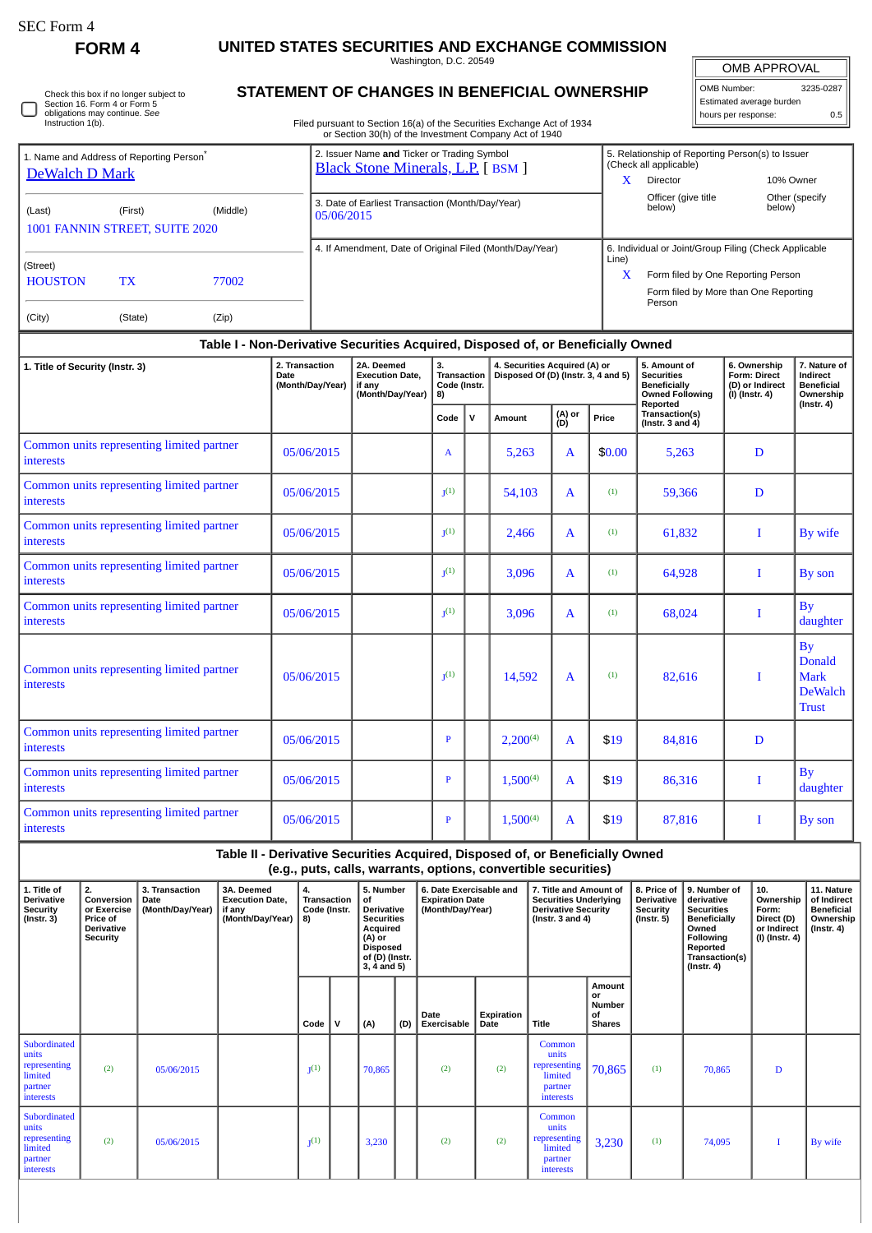| SEC Form 4 |  |
|------------|--|
|------------|--|

## **FORM 4 UNITED STATES SECURITIES AND EXCHANGE COMMISSION**

Washington, D.C. 20549

| Check this box if no longer subject to |
|----------------------------------------|
| Section 16. Form 4 or Form 5           |
| obligations may continue. See          |
| Instruction 1(b).                      |

## **STATEMENT OF CHANGES IN BENEFICIAL OWNERSHIP**

Filed pursuant to Section 16(a) of the Securities Exchange Act of 1934 or Section 30(h) of the Investment Company Act of 1940

| <b>OMB APPROVAL</b>      |     |  |  |  |  |  |  |  |  |
|--------------------------|-----|--|--|--|--|--|--|--|--|
| OMB Number:<br>3235-0287 |     |  |  |  |  |  |  |  |  |
| Estimated average burden |     |  |  |  |  |  |  |  |  |
| hours per response:      | 0.5 |  |  |  |  |  |  |  |  |

| 1. Name and Address of Reporting Person <sup>®</sup><br>DeWalch D Mark |         |       | 2. Issuer Name and Ticker or Trading Symbol<br>Black Stone Minerals, L.P. [BSM ] | 5. Relationship of Reporting Person(s) to Issuer<br>(Check all applicable)<br>x<br>10% Owner<br>Director                                                     |
|------------------------------------------------------------------------|---------|-------|----------------------------------------------------------------------------------|--------------------------------------------------------------------------------------------------------------------------------------------------------------|
| (Middle)<br>(Last)<br>(First)<br>1001 FANNIN STREET, SUITE 2020        |         |       | 3. Date of Earliest Transaction (Month/Day/Year)<br>05/06/2015                   | Officer (give title<br>Other (specify<br>below)<br>below)                                                                                                    |
| (Street)<br><b>HOUSTON</b><br>77002<br>TX                              |         |       | 4. If Amendment, Date of Original Filed (Month/Day/Year)                         | 6. Individual or Joint/Group Filing (Check Applicable<br>Line)<br>X<br>Form filed by One Reporting Person<br>Form filed by More than One Reporting<br>Person |
| (City)                                                                 | (State) | (Zip) |                                                                                  |                                                                                                                                                              |

| Table I - Non-Derivative Securities Acquired, Disposed of, or Beneficially Owned |                                                   |                                                                    |                                                |              |                                                                      |               |        |                                                                                                |                                                                            |                                                                      |  |  |
|----------------------------------------------------------------------------------|---------------------------------------------------|--------------------------------------------------------------------|------------------------------------------------|--------------|----------------------------------------------------------------------|---------------|--------|------------------------------------------------------------------------------------------------|----------------------------------------------------------------------------|----------------------------------------------------------------------|--|--|
| 1. Title of Security (Instr. 3)                                                  | 2. Transaction<br><b>Date</b><br>(Month/Day/Year) | 2A. Deemed<br><b>Execution Date,</b><br>if any<br>(Month/Day/Year) | 3.<br><b>Transaction</b><br>Code (Instr.<br>8) |              | 4. Securities Acquired (A) or<br>Disposed Of (D) (Instr. 3, 4 and 5) |               |        | 5. Amount of<br><b>Securities</b><br><b>Beneficially</b><br><b>Owned Following</b><br>Reported | 6. Ownership<br><b>Form: Direct</b><br>(D) or Indirect<br>$(I)$ (Instr. 4) | 7. Nature of<br>Indirect<br><b>Beneficial</b><br>Ownership           |  |  |
|                                                                                  |                                                   |                                                                    | Code                                           | $\mathsf{v}$ | Amount                                                               | (A) or<br>(D) | Price  | Transaction(s)<br>(Instr. $3$ and $4$ )                                                        |                                                                            | $($ Instr. 4 $)$                                                     |  |  |
| Common units representing limited partner<br><b>interests</b>                    | 05/06/2015                                        |                                                                    | A                                              |              | 5,263                                                                | $\mathbf{A}$  | \$0.00 | 5,263                                                                                          | D                                                                          |                                                                      |  |  |
| Common units representing limited partner<br>interests                           | 05/06/2015                                        |                                                                    | I <sub>1</sub> (1)                             |              | 54,103                                                               | $\mathbf{A}$  | (1)    | 59,366                                                                                         | D                                                                          |                                                                      |  |  |
| Common units representing limited partner<br><b>interests</b>                    | 05/06/2015                                        |                                                                    | I <sub>1</sub> (1)                             |              | 2,466                                                                | $\mathbf{A}$  | (1)    | 61,832                                                                                         | Ι                                                                          | By wife                                                              |  |  |
| Common units representing limited partner<br><b>interests</b>                    | 05/06/2015                                        |                                                                    | I <sub>1</sub> (1)                             |              | 3,096                                                                | $\mathbf{A}$  | (1)    | 64,928                                                                                         | T                                                                          | By son                                                               |  |  |
| Common units representing limited partner<br><b>interests</b>                    | 05/06/2015                                        |                                                                    | I <sub>1</sub> (1)                             |              | 3,096                                                                | $\mathbf{A}$  | (1)    | 68,024                                                                                         | Ι                                                                          | By<br>daughter                                                       |  |  |
| Common units representing limited partner<br>interests                           | 05/06/2015                                        |                                                                    | I <sub>1</sub> (1)                             |              | 14,592                                                               | $\mathbf{A}$  | (1)    | 82.616                                                                                         | $\mathbf{I}$                                                               | By<br><b>Donald</b><br><b>Mark</b><br><b>DeWalch</b><br><b>Trust</b> |  |  |
| Common units representing limited partner<br><b>interests</b>                    | 05/06/2015                                        |                                                                    | P                                              |              | $2,200^{(4)}$                                                        | $\mathbf{A}$  | \$19   | 84,816                                                                                         | D                                                                          |                                                                      |  |  |
| Common units representing limited partner<br><b>interests</b>                    | 05/06/2015                                        |                                                                    | $\mathbf{P}$                                   |              | $1,500^{(4)}$                                                        | $\mathbf{A}$  | \$19   | 86,316                                                                                         | $\bf{I}$                                                                   | By<br>daughter                                                       |  |  |
| Common units representing limited partner<br>interests                           | 05/06/2015                                        |                                                                    | P                                              |              | $1,500^{(4)}$                                                        | $\mathbf{A}$  | \$19   | 87,816                                                                                         | Ι                                                                          | By son                                                               |  |  |

**Table II - Derivative Securities Acquired, Disposed of, or Beneficially Owned (e.g., puts, calls, warrants, options, convertible securities)**

| 1. Title of<br>Derivative<br><b>Security</b><br>$($ lnstr. 3 $)$         | 2.<br>Conversion<br>or Exercise<br>Price of<br><b>Derivative</b><br>Security | 3. Transaction<br>Date<br>(Month/Day/Year) | 3A. Deemed<br><b>Execution Date,</b><br>if any<br>(Month/Day/Year)   8) | 4.<br>Transaction<br>Code (Instr. |   | 5. Number<br>of<br><b>Derivative</b><br><b>Securities</b><br>Acquired<br>(A) or<br><b>Disposed</b><br>of (D) (Instr.<br>3, 4 and 5) |     | 6. Date Exercisable and<br><b>Expiration Date</b><br>(Month/Day/Year) |                    | 7. Title and Amount of<br><b>Securities Underlying</b><br><b>Derivative Security</b><br>( $Instr. 3 and 4$ ) |                                               | 8. Price of<br>Derivative<br>Security<br>$($ lnstr. 5 $)$ |        | 10.<br>Ownership<br>Form:<br>Direct (D)<br>or Indirect<br>(I) (Instr. 4) | 11. Nature<br>of Indirect<br><b>Beneficial</b><br>Ownership<br>(Instr. 4) |
|--------------------------------------------------------------------------|------------------------------------------------------------------------------|--------------------------------------------|-------------------------------------------------------------------------|-----------------------------------|---|-------------------------------------------------------------------------------------------------------------------------------------|-----|-----------------------------------------------------------------------|--------------------|--------------------------------------------------------------------------------------------------------------|-----------------------------------------------|-----------------------------------------------------------|--------|--------------------------------------------------------------------------|---------------------------------------------------------------------------|
|                                                                          |                                                                              |                                            |                                                                         | Code                              | v | (A)                                                                                                                                 | (D) | Date<br>Exercisable                                                   | Expiration<br>Date | Title                                                                                                        | Amount<br>or<br>Number<br>of<br><b>Shares</b> |                                                           |        |                                                                          |                                                                           |
| Subordinated<br>units<br>representing<br>limited<br>partner<br>interests | (2)                                                                          | 05/06/2015                                 |                                                                         | I <sub>1</sub> (1)                |   | 70,865                                                                                                                              |     | (2)                                                                   | (2)                | Common<br>units<br>representing<br>limited<br>partner<br><b>interests</b>                                    | 70,865                                        | (1)                                                       | 70,865 | D                                                                        |                                                                           |
| Subordinated<br>units<br>representing<br>limited<br>partner<br>interests | (2)                                                                          | 05/06/2015                                 |                                                                         | $J^{(1)}$                         |   | 3,230                                                                                                                               |     | (2)                                                                   | (2)                | Common<br>units<br>representing<br>limited<br>partner<br>interests                                           | 3,230                                         | (1)                                                       | 74,095 |                                                                          | By wife                                                                   |